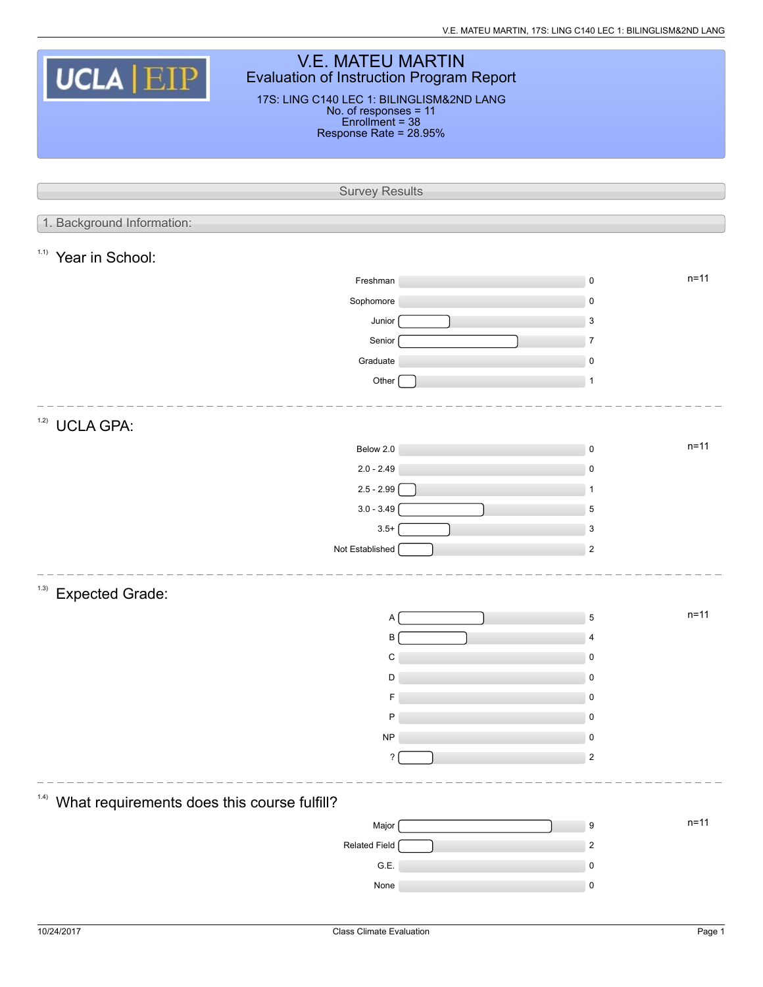| <b>V.E. MATEU MARTIN</b>                                                              |  |                            |  |  |  |  |  |  |
|---------------------------------------------------------------------------------------|--|----------------------------|--|--|--|--|--|--|
| UCLA EIP<br><b>Evaluation of Instruction Program Report</b>                           |  |                            |  |  |  |  |  |  |
| 17S: LING C140 LEC 1: BILINGLISM&2ND LANG<br>No. of responses = 11<br>Enrollment = 38 |  |                            |  |  |  |  |  |  |
| Response Rate = 28.95%                                                                |  |                            |  |  |  |  |  |  |
|                                                                                       |  |                            |  |  |  |  |  |  |
|                                                                                       |  |                            |  |  |  |  |  |  |
| <b>Survey Results</b>                                                                 |  |                            |  |  |  |  |  |  |
|                                                                                       |  |                            |  |  |  |  |  |  |
| 1. Background Information:                                                            |  |                            |  |  |  |  |  |  |
| 1.1)<br>Year in School:                                                               |  |                            |  |  |  |  |  |  |
| Freshman                                                                              |  | $n = 11$<br>$\mathsf 0$    |  |  |  |  |  |  |
| Sophomore                                                                             |  | 0                          |  |  |  |  |  |  |
| Junior                                                                                |  | $\mathbf{3}$               |  |  |  |  |  |  |
| Senior                                                                                |  | $\overline{7}$             |  |  |  |  |  |  |
| Graduate                                                                              |  | 0                          |  |  |  |  |  |  |
| Other                                                                                 |  | $\mathbf{1}$               |  |  |  |  |  |  |
|                                                                                       |  |                            |  |  |  |  |  |  |
| 1.2)<br><b>UCLA GPA:</b>                                                              |  |                            |  |  |  |  |  |  |
| Below 2.0                                                                             |  | $n = 11$<br>$\mathsf 0$    |  |  |  |  |  |  |
| $2.0 - 2.49$                                                                          |  | $\mathsf 0$                |  |  |  |  |  |  |
| $2.5 - 2.99$                                                                          |  | $\mathbf{1}$               |  |  |  |  |  |  |
| $3.0 - 3.49$                                                                          |  | 5                          |  |  |  |  |  |  |
| $3.5+$                                                                                |  | 3                          |  |  |  |  |  |  |
| Not Established                                                                       |  | $\sqrt{2}$                 |  |  |  |  |  |  |
|                                                                                       |  |                            |  |  |  |  |  |  |
| (1.3)<br><b>Expected Grade:</b>                                                       |  |                            |  |  |  |  |  |  |
| Α                                                                                     |  | $n = 11$<br>5              |  |  |  |  |  |  |
| B                                                                                     |  | 4                          |  |  |  |  |  |  |
| C                                                                                     |  | $\pmb{0}$                  |  |  |  |  |  |  |
| D                                                                                     |  | $\mathsf 0$                |  |  |  |  |  |  |
| F                                                                                     |  | 0                          |  |  |  |  |  |  |
| P                                                                                     |  | $\pmb{0}$                  |  |  |  |  |  |  |
| <b>NP</b>                                                                             |  | $\mathsf 0$                |  |  |  |  |  |  |
| ?                                                                                     |  | $\sqrt{2}$                 |  |  |  |  |  |  |
|                                                                                       |  |                            |  |  |  |  |  |  |
| 1.4)<br>What requirements does this course fulfill?                                   |  |                            |  |  |  |  |  |  |
| Major                                                                                 |  | $n=11$<br>$\boldsymbol{9}$ |  |  |  |  |  |  |
| Related Field                                                                         |  | $\sqrt{2}$                 |  |  |  |  |  |  |
| G.E.                                                                                  |  | 0                          |  |  |  |  |  |  |
| None                                                                                  |  | $\pmb{0}$                  |  |  |  |  |  |  |
|                                                                                       |  |                            |  |  |  |  |  |  |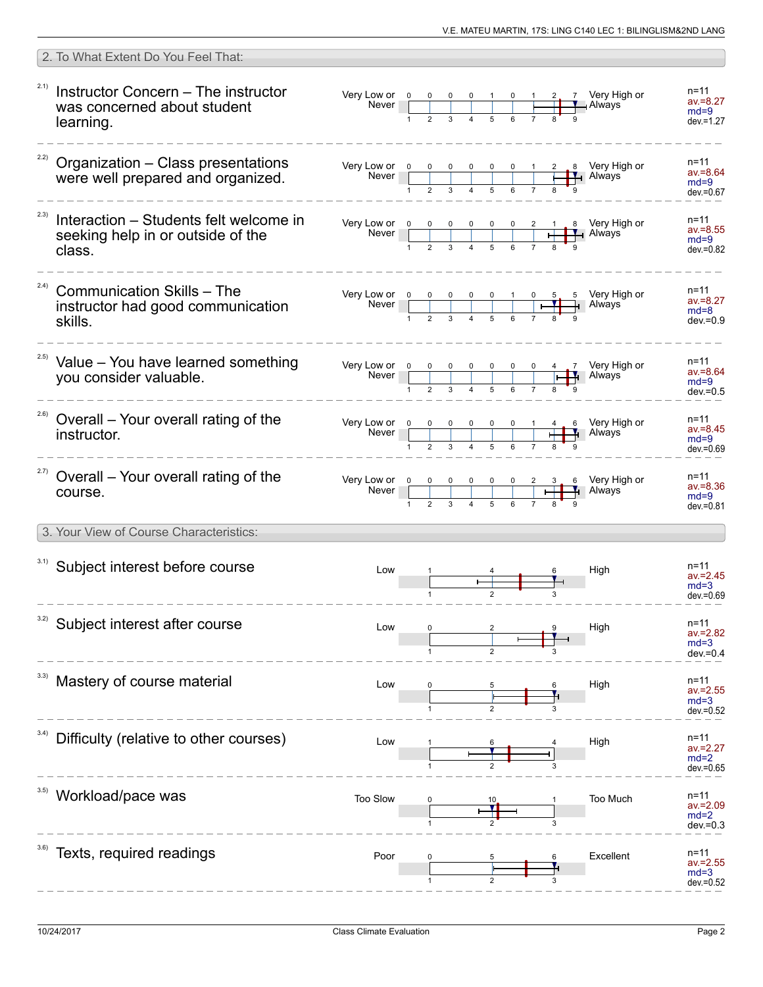|      | 2. To What Extent Do You Feel That:                                                    |                                                                                                                                                                                                                                                                                                                                                                                                            |              |  |  |  |                               |                                                                                                                                                                                                 |                                                   |
|------|----------------------------------------------------------------------------------------|------------------------------------------------------------------------------------------------------------------------------------------------------------------------------------------------------------------------------------------------------------------------------------------------------------------------------------------------------------------------------------------------------------|--------------|--|--|--|-------------------------------|-------------------------------------------------------------------------------------------------------------------------------------------------------------------------------------------------|---------------------------------------------------|
| 2.1) | Instructor Concern – The instructor<br>was concerned about student<br>learning.        | Very Low or 0 0 0 0 1 0 1<br>Never 1 2 3 4 5 6 7                                                                                                                                                                                                                                                                                                                                                           |              |  |  |  |                               | $\frac{2}{\sqrt{1-\frac{1}{2}}}$ / Nery High or                                                                                                                                                 | n=11<br>$av = 8.27$<br>$md=9$<br>$dev = 1.27$     |
|      | <sup>22)</sup> Organization - Class presentations<br>were well prepared and organized. |                                                                                                                                                                                                                                                                                                                                                                                                            |              |  |  |  |                               | Very Low or $\begin{array}{ c c c c c c c c }\n\hline\n&\text{Never}&0&0&0&0&0&1&2&8&\text{Very High or}\n\hline\n&1&2&3&4&5&6&7&8&9&\text{A} \text{W} \text{a} \text{y} \text{s}\n\end{array}$ | $n = 11$<br>$av = 8.64$<br>$md=9$<br>$dev = 0.67$ |
| 2.3) | Interaction - Students felt welcome in<br>seeking help in or outside of the<br>class.  | Very Low or 0<br>Never                                                                                                                                                                                                                                                                                                                                                                                     | $\mathbf{1}$ |  |  |  |                               | 0 0 0 2 1 8 Very High or                                                                                                                                                                        | $n = 11$<br>$av = 8.55$<br>$md=9$<br>$dev = 0.82$ |
| 2.4) | <b>Communication Skills - The</b><br>instructor had good communication<br>skills.      | Very Low or $\begin{array}{ c c c c c c }\n\hline\n\text{Never} & \begin{array}{ c c c c }\n\hline\n\text{Never} & \begin{array}{ c c c }\n\hline\n\text{NLO} & \text{NLO} & \text{NLO} & \text{NLO} & \text{NLO} \\ \hline\n\end{array} & \begin{array}{ c c c c c }\n\hline\n\text{NLO} & \text{NLO} & \text{NLO} & \text{NLO} & \text{NLO} \\ \hline\n\end{array} & \begin{array}{ c c c c c }\n\hline$ |              |  |  |  | $\mathbf{\check{\mathsf{H}}}$ | 0 5 5 Very High or<br>$\perp$ Always                                                                                                                                                            | $n = 11$<br>$av = 8.27$<br>$md=8$<br>$dev = 0.9$  |
|      | <sup>2.5)</sup> Value - You have learned something<br>you consider valuable.           |                                                                                                                                                                                                                                                                                                                                                                                                            |              |  |  |  |                               | H Always                                                                                                                                                                                        | $n = 11$<br>$av = 8.64$<br>$md=9$<br>$dev = 0.5$  |
|      | <sup>2.6)</sup> Overall - Your overall rating of the<br>instructor.                    |                                                                                                                                                                                                                                                                                                                                                                                                            |              |  |  |  |                               | Very Low or $\begin{array}{ c c c c c c }\n\hline\n0 & 0 & 0 & 0 & 0 & 1 & 4 & 6 \\ \hline\n\end{array}$ Very High or Never                                                                     | $n = 11$<br>$av = 8.45$<br>$md=9$<br>$dev = 0.69$ |
|      | <sup>2.7)</sup> Overall – Your overall rating of the<br>course.                        |                                                                                                                                                                                                                                                                                                                                                                                                            |              |  |  |  |                               | 6 Very High or<br>Always                                                                                                                                                                        | n=11<br>$av = 8.36$<br>$md=9$<br>$dev = 0.81$     |
|      | 3. Your View of Course Characteristics:                                                |                                                                                                                                                                                                                                                                                                                                                                                                            |              |  |  |  |                               |                                                                                                                                                                                                 |                                                   |
|      | 3.1) Subject interest before course                                                    | Low                                                                                                                                                                                                                                                                                                                                                                                                        |              |  |  |  |                               | High                                                                                                                                                                                            | n=11<br>$av = 2.45$<br>$md=3$<br>$dev = 0.69$     |
|      | 3.2) Subject interest after course                                                     | Low                                                                                                                                                                                                                                                                                                                                                                                                        |              |  |  |  |                               | High                                                                                                                                                                                            | n=11<br>$av = 2.82$<br>$md=3$<br>$dev = 0.4$      |
|      | 3.3) Mastery of course material                                                        | Low                                                                                                                                                                                                                                                                                                                                                                                                        |              |  |  |  |                               | High                                                                                                                                                                                            | n=11<br>av.=2.55<br>$md=3$<br>$dev = 0.52$        |
|      | Difficulty (relative to other courses)                                                 | Low                                                                                                                                                                                                                                                                                                                                                                                                        |              |  |  |  |                               | High                                                                                                                                                                                            | $n = 11$<br>$av = 2.27$<br>$md=2$<br>$dev = 0.65$ |
| 3.5) | Workload/pace was                                                                      | Too Slow                                                                                                                                                                                                                                                                                                                                                                                                   |              |  |  |  |                               | Too Much                                                                                                                                                                                        | n=11<br>av.=2.09<br>$md=2$<br>dev.=0.3            |
|      | Texts, required readings                                                               | Poor                                                                                                                                                                                                                                                                                                                                                                                                       |              |  |  |  |                               | Excellent                                                                                                                                                                                       | n=11<br>$av = 2.55$<br>$md=3$<br>$dev = 0.52$     |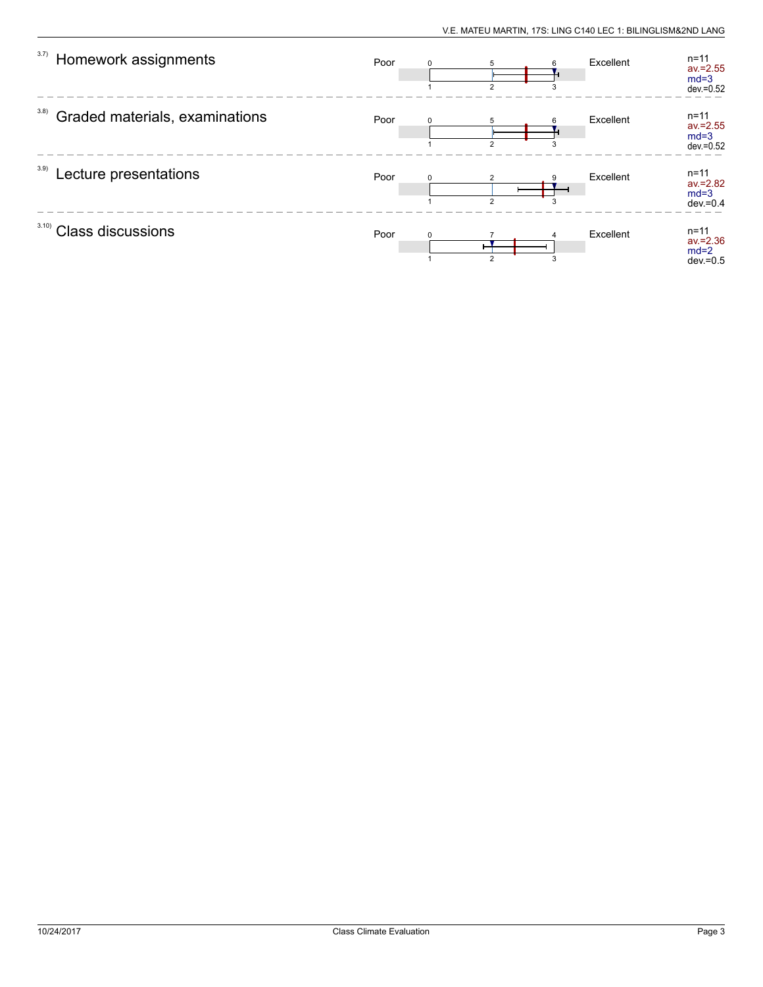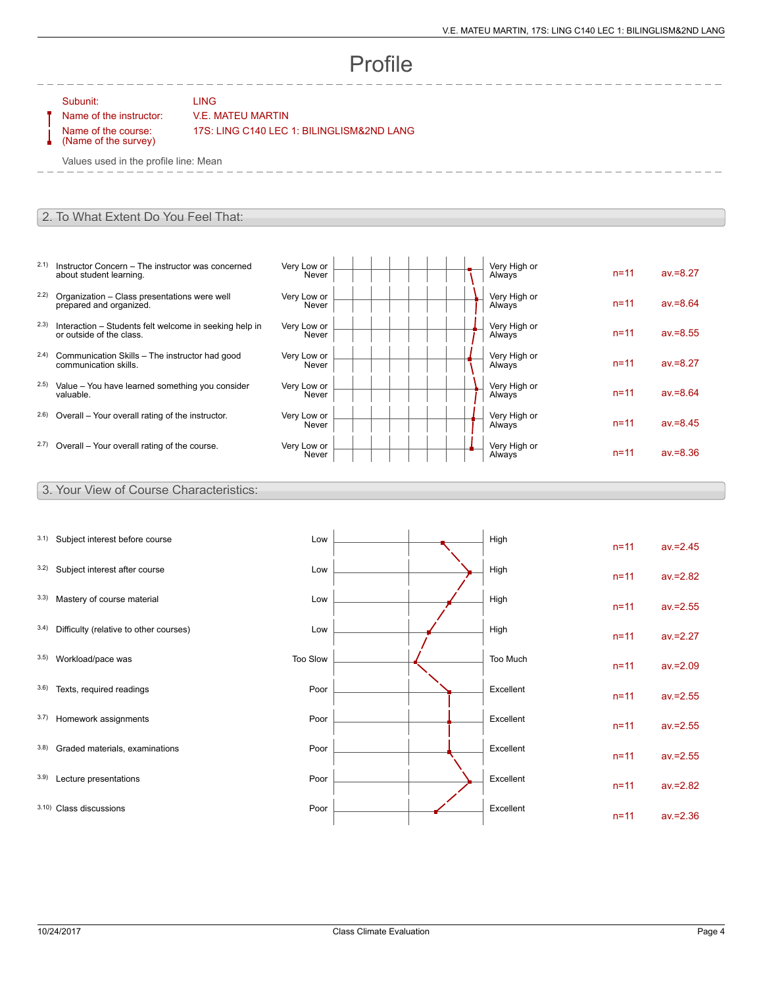# Profile

Subunit: LING

### Name of the instructor: V.E. MATEU MARTIN

Name of the course: (Name of the survey)

 $- - -$ 

17S: LING C140 LEC 1: BILINGLISM&2ND LANG

Values used in the profile line: Mean

#### 2. To What Extent Do You Feel That:

- 2.1) Instructor Concern The instructor was concerned about student learning.
- 2.2) Organization Class presentations were well prepared and organized.
- 2.3) Interaction Students felt welcome in seeking help in or outside of the class.
- 2.4) Communication Skills The instructor had good communication skills.
- 2.5) Value You have learned something you consider valuable.
- $2.6$ ) Overall Your overall rating of the instructor.
- $2.7)$  Overall Your overall rating of the course.

| Very Low or<br>Never | Very High or<br>Always | $n = 11$ | $av = 8.27$ |
|----------------------|------------------------|----------|-------------|
| Very Low or<br>Never | Very High or<br>Always | $n = 11$ | $av = 8.64$ |
| Very Low or<br>Never | Very High or<br>Always | $n = 11$ | $av = 8.55$ |
| Very Low or<br>Never | Very High or<br>Always | $n = 11$ | $av = 8.27$ |
| Very Low or<br>Never | Very High or<br>Always | $n = 11$ | $av = 8.64$ |
| Very Low or<br>Never | Very High or<br>Always | $n = 11$ | $av = 8.45$ |
| Very Low or<br>Never | Very High or<br>Always | $n = 11$ | $av = 8.36$ |

#### 3. Your View of Course Characteristics:

| 3.1) | Subject interest before course         | Low      |  | High      | $n = 11$ | $av = 2.45$ |
|------|----------------------------------------|----------|--|-----------|----------|-------------|
| 3.2) | Subject interest after course          | Low      |  | High      | $n = 11$ | $av = 2.82$ |
| 3.3) | Mastery of course material             | Low      |  | High      | $n = 11$ | $av = 2.55$ |
| 3.4) | Difficulty (relative to other courses) | Low      |  | High      | $n = 11$ | $av = 2.27$ |
| 3.5) | Workload/pace was                      | Too Slow |  | Too Much  | $n = 11$ | $av = 2.09$ |
| 3.6) | Texts, required readings               | Poor     |  | Excellent | $n = 11$ | $av = 2.55$ |
| 3.7) | Homework assignments                   | Poor     |  | Excellent | $n = 11$ | $av = 2.55$ |
| 3.8) | Graded materials, examinations         | Poor     |  | Excellent | $n = 11$ | $av = 2.55$ |
| 3.9) | Lecture presentations                  | Poor     |  | Excellent | $n = 11$ | $av = 2.82$ |
|      | 3.10) Class discussions                | Poor     |  | Excellent | $n = 11$ | $av = 2.36$ |